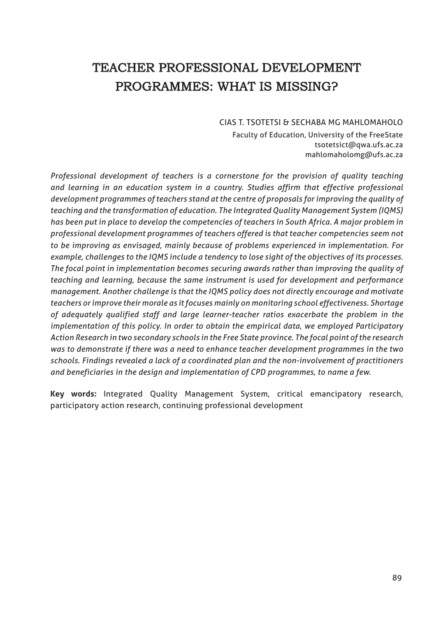# Teacher Professional Development PROGRAMMES: WHAT IS MISSING?

Cias T. Tsotetsi & Sechaba MG Mahlomaholo

Faculty of Education, University of the FreeState tsotetsict@qwa.ufs.ac.za mahlomaholomg@ufs.ac.za

*Professional development of teachers is a cornerstone for the provision of quality teaching and learning in an education system in a country. Studies affirm that effective professional development programmes of teachers stand at the centre of proposals for improving the quality of teaching and the transformation of education. The Integrated Quality Management System (IQMS) has been put in place to develop the competencies of teachers in South Africa. A major problem in professional development programmes of teachers offered is that teacher competencies seem not to be improving as envisaged, mainly because of problems experienced in implementation. For example, challenges to the IQMS include a tendency to lose sight of the objectives of its processes. The focal point in implementation becomes securing awards rather than improving the quality of teaching and learning, because the same instrument is used for development and performance management. Another challenge is that the IQMS policy does not directly encourage and motivate teachers or improve their morale as it focuses mainly on monitoring school effectiveness. Shortage of adequately qualified staff and large learner-teacher ratios exacerbate the problem in the implementation of this policy. In order to obtain the empirical data, we employed Participatory Action Research in two secondary schools in the Free State province. The focal point of the research was to demonstrate if there was a need to enhance teacher development programmes in the two schools. Findings revealed a lack of a coordinated plan and the non-involvement of practitioners and beneficiaries in the design and implementation of CPD programmes, to name a few.* 

**Key words:** Integrated Quality Management System, critical emancipatory research, participatory action research, continuing professional development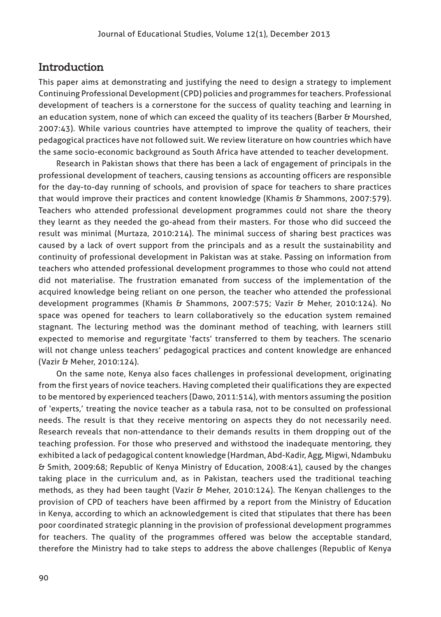#### Introduction

This paper aims at demonstrating and justifying the need to design a strategy to implement Continuing Professional Development (CPD) policies and programmes for teachers. Professional development of teachers is a cornerstone for the success of quality teaching and learning in an education system, none of which can exceed the quality of its teachers (Barber & Mourshed, 2007:43). While various countries have attempted to improve the quality of teachers, their pedagogical practices have not followed suit. We review literature on how countries which have the same socio-economic background as South Africa have attended to teacher development.

Research in Pakistan shows that there has been a lack of engagement of principals in the professional development of teachers, causing tensions as accounting officers are responsible for the day-to-day running of schools, and provision of space for teachers to share practices that would improve their practices and content knowledge (Khamis & Shammons, 2007:579). Teachers who attended professional development programmes could not share the theory they learnt as they needed the go-ahead from their masters. For those who did succeed the result was minimal (Murtaza, 2010:214). The minimal success of sharing best practices was caused by a lack of overt support from the principals and as a result the sustainability and continuity of professional development in Pakistan was at stake. Passing on information from teachers who attended professional development programmes to those who could not attend did not materialise. The frustration emanated from success of the implementation of the acquired knowledge being reliant on one person, the teacher who attended the professional development programmes (Khamis & Shammons, 2007:575; Vazir & Meher, 2010:124). No space was opened for teachers to learn collaboratively so the education system remained stagnant. The lecturing method was the dominant method of teaching, with learners still expected to memorise and regurgitate 'facts' transferred to them by teachers. The scenario will not change unless teachers' pedagogical practices and content knowledge are enhanced (Vazir & Meher, 2010:124).

On the same note, Kenya also faces challenges in professional development, originating from the first years of novice teachers. Having completed their qualifications they are expected to be mentored by experienced teachers (Dawo, 2011:514), with mentors assuming the position of 'experts,' treating the novice teacher as a tabula rasa, not to be consulted on professional needs. The result is that they receive mentoring on aspects they do not necessarily need. Research reveals that non-attendance to their demands results in them dropping out of the teaching profession. For those who preserved and withstood the inadequate mentoring, they exhibited a lack of pedagogical content knowledge (Hardman, Abd-Kadir, Agg, Migwi, Ndambuku & Smith, 2009:68; Republic of Kenya Ministry of Education, 2008:41), caused by the changes taking place in the curriculum and, as in Pakistan, teachers used the traditional teaching methods, as they had been taught (Vazir & Meher, 2010:124). The Kenyan challenges to the provision of CPD of teachers have been affirmed by a report from the Ministry of Education in Kenya, according to which an acknowledgement is cited that stipulates that there has been poor coordinated strategic planning in the provision of professional development programmes for teachers. The quality of the programmes offered was below the acceptable standard, therefore the Ministry had to take steps to address the above challenges (Republic of Kenya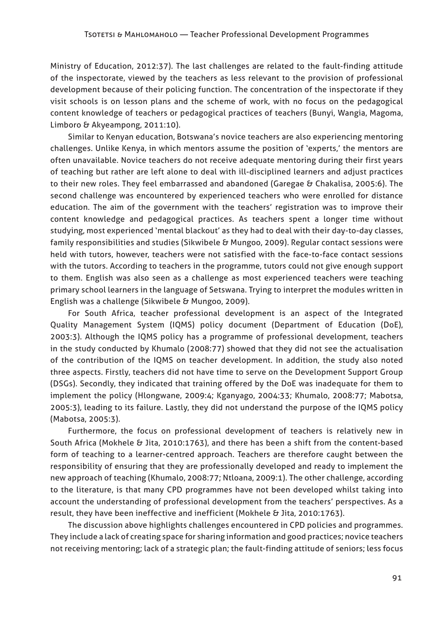Ministry of Education, 2012:37). The last challenges are related to the fault-finding attitude of the inspectorate, viewed by the teachers as less relevant to the provision of professional development because of their policing function. The concentration of the inspectorate if they visit schools is on lesson plans and the scheme of work, with no focus on the pedagogical content knowledge of teachers or pedagogical practices of teachers (Bunyi, Wangia, Magoma, Limboro & Akyeampong, 2011:10).

Similar to Kenyan education, Botswana's novice teachers are also experiencing mentoring challenges. Unlike Kenya, in which mentors assume the position of 'experts,' the mentors are often unavailable. Novice teachers do not receive adequate mentoring during their first years of teaching but rather are left alone to deal with ill-disciplined learners and adjust practices to their new roles. They feel embarrassed and abandoned (Garegae & Chakalisa, 2005:6). The second challenge was encountered by experienced teachers who were enrolled for distance education. The aim of the government with the teachers' registration was to improve their content knowledge and pedagogical practices. As teachers spent a longer time without studying, most experienced 'mental blackout' as they had to deal with their day-to-day classes, family responsibilities and studies (Sikwibele & Mungoo, 2009). Regular contact sessions were held with tutors, however, teachers were not satisfied with the face-to-face contact sessions with the tutors. According to teachers in the programme, tutors could not give enough support to them. English was also seen as a challenge as most experienced teachers were teaching primary school learners in the language of Setswana. Trying to interpret the modules written in English was a challenge (Sikwibele & Mungoo, 2009).

For South Africa, teacher professional development is an aspect of the Integrated Quality Management System (IQMS) policy document (Department of Education (DoE), 2003:3). Although the IQMS policy has a programme of professional development, teachers in the study conducted by Khumalo (2008:77) showed that they did not see the actualisation of the contribution of the IQMS on teacher development. In addition, the study also noted three aspects. Firstly, teachers did not have time to serve on the Development Support Group (DSGs). Secondly, they indicated that training offered by the DoE was inadequate for them to implement the policy (Hlongwane, 2009:4; Kganyago, 2004:33; Khumalo, 2008:77; Mabotsa, 2005:3), leading to its failure. Lastly, they did not understand the purpose of the IQMS policy (Mabotsa, 2005:3).

Furthermore, the focus on professional development of teachers is relatively new in South Africa (Mokhele & Jita, 2010:1763), and there has been a shift from the content-based form of teaching to a learner-centred approach. Teachers are therefore caught between the responsibility of ensuring that they are professionally developed and ready to implement the new approach of teaching (Khumalo, 2008:77; Ntloana, 2009:1). The other challenge, according to the literature, is that many CPD programmes have not been developed whilst taking into account the understanding of professional development from the teachers' perspectives. As a result, they have been ineffective and inefficient (Mokhele & Jita, 2010:1763).

The discussion above highlights challenges encountered in CPD policies and programmes. They include a lack of creating space for sharing information and good practices; novice teachers not receiving mentoring; lack of a strategic plan; the fault-finding attitude of seniors; less focus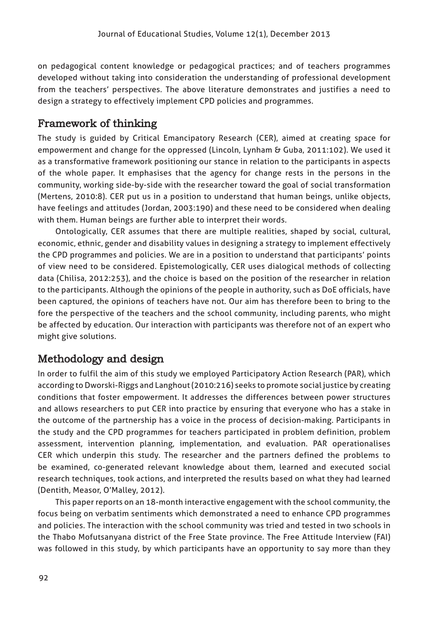on pedagogical content knowledge or pedagogical practices; and of teachers programmes developed without taking into consideration the understanding of professional development from the teachers' perspectives. The above literature demonstrates and justifies a need to design a strategy to effectively implement CPD policies and programmes.

## Framework of thinking

The study is guided by Critical Emancipatory Research (CER), aimed at creating space for empowerment and change for the oppressed (Lincoln, Lynham & Guba, 2011:102). We used it as a transformative framework positioning our stance in relation to the participants in aspects of the whole paper. It emphasises that the agency for change rests in the persons in the community, working side-by-side with the researcher toward the goal of social transformation (Mertens, 2010:8). CER put us in a position to understand that human beings, unlike objects, have feelings and attitudes (Jordan, 2003:190) and these need to be considered when dealing with them. Human beings are further able to interpret their words.

Ontologically, CER assumes that there are multiple realities, shaped by social, cultural, economic, ethnic, gender and disability values in designing a strategy to implement effectively the CPD programmes and policies. We are in a position to understand that participants' points of view need to be considered. Epistemologically, CER uses dialogical methods of collecting data (Chilisa, 2012:253), and the choice is based on the position of the researcher in relation to the participants. Although the opinions of the people in authority, such as DoE officials, have been captured, the opinions of teachers have not. Our aim has therefore been to bring to the fore the perspective of the teachers and the school community, including parents, who might be affected by education. Our interaction with participants was therefore not of an expert who might give solutions.

# Methodology and design

In order to fulfil the aim of this study we employed Participatory Action Research (PAR), which according to Dworski-Riggs and Langhout (2010:216) seeks to promote social justice by creating conditions that foster empowerment. It addresses the differences between power structures and allows researchers to put CER into practice by ensuring that everyone who has a stake in the outcome of the partnership has a voice in the process of decision-making. Participants in the study and the CPD programmes for teachers participated in problem definition, problem assessment, intervention planning, implementation, and evaluation. PAR operationalises CER which underpin this study. The researcher and the partners defined the problems to be examined, co-generated relevant knowledge about them, learned and executed social research techniques, took actions, and interpreted the results based on what they had learned (Dentith, Measor, O'Malley, 2012).

This paper reports on an 18-month interactive engagement with the school community, the focus being on verbatim sentiments which demonstrated a need to enhance CPD programmes and policies. The interaction with the school community was tried and tested in two schools in the Thabo Mofutsanyana district of the Free State province. The Free Attitude Interview (FAI) was followed in this study, by which participants have an opportunity to say more than they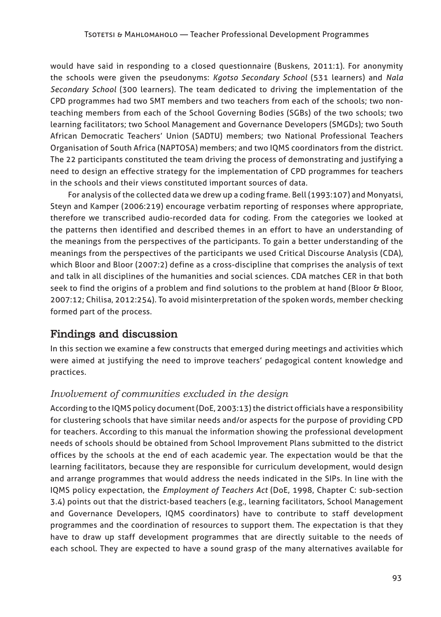would have said in responding to a closed questionnaire (Buskens, 2011:1). For anonymity the schools were given the pseudonyms: *Kgotso Secondary School* (531 learners) and *Nala Secondary School* (300 learners). The team dedicated to driving the implementation of the CPD programmes had two SMT members and two teachers from each of the schools; two nonteaching members from each of the School Governing Bodies (SGBs) of the two schools; two learning facilitators; two School Management and Governance Developers (SMGDs); two South African Democratic Teachers' Union (SADTU) members; two National Professional Teachers Organisation of South Africa (NAPTOSA) members; and two IQMS coordinators from the district. The 22 participants constituted the team driving the process of demonstrating and justifying a need to design an effective strategy for the implementation of CPD programmes for teachers in the schools and their views constituted important sources of data.

For analysis of the collected data we drew up a coding frame. Bell (1993:107) and Monyatsi, Steyn and Kamper (2006:219) encourage verbatim reporting of responses where appropriate, therefore we transcribed audio-recorded data for coding. From the categories we looked at the patterns then identified and described themes in an effort to have an understanding of the meanings from the perspectives of the participants. To gain a better understanding of the meanings from the perspectives of the participants we used Critical Discourse Analysis (CDA), which Bloor and Bloor (2007:2) define as a cross-discipline that comprises the analysis of text and talk in all disciplines of the humanities and social sciences. CDA matches CER in that both seek to find the origins of a problem and find solutions to the problem at hand (Bloor & Bloor, 2007:12; Chilisa, 2012:254). To avoid misinterpretation of the spoken words, member checking formed part of the process.

# Findings and discussion

In this section we examine a few constructs that emerged during meetings and activities which were aimed at justifying the need to improve teachers' pedagogical content knowledge and practices.

## *Involvement of communities excluded in the design*

According to the IQMS policy document (DoE, 2003:13) the district officials have a responsibility for clustering schools that have similar needs and/or aspects for the purpose of providing CPD for teachers. According to this manual the information showing the professional development needs of schools should be obtained from School Improvement Plans submitted to the district offices by the schools at the end of each academic year. The expectation would be that the learning facilitators, because they are responsible for curriculum development, would design and arrange programmes that would address the needs indicated in the SIPs. In line with the IQMS policy expectation, the *Employment of Teachers Act* (DoE, 1998, Chapter C: sub-section 3.4) points out that the district-based teachers (e.g., learning facilitators, School Management and Governance Developers, IQMS coordinators) have to contribute to staff development programmes and the coordination of resources to support them. The expectation is that they have to draw up staff development programmes that are directly suitable to the needs of each school. They are expected to have a sound grasp of the many alternatives available for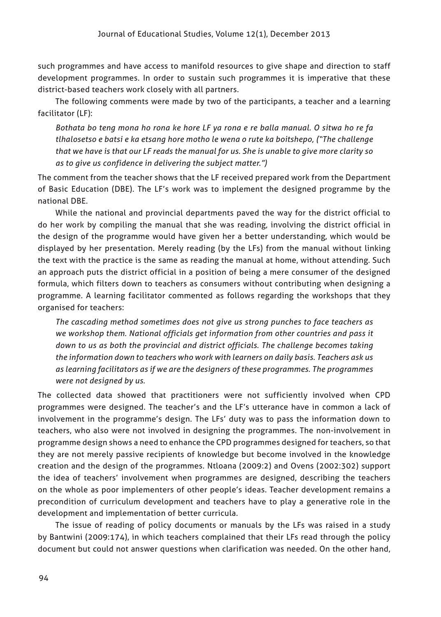such programmes and have access to manifold resources to give shape and direction to staff development programmes. In order to sustain such programmes it is imperative that these district-based teachers work closely with all partners.

The following comments were made by two of the participants, a teacher and a learning facilitator (LF):

*Bothata bo teng mona ho rona ke hore LF ya rona e re balla manual. O sitwa ho re fa tlhalosetso e batsi e ka etsang hore motho le wena o rute ka boitshepo, ("The challenge that we have is that our LF reads the manual for us. She is unable to give more clarity so as to give us confidence in delivering the subject matter.")*

The comment from the teacher shows that the LF received prepared work from the Department of Basic Education (DBE). The LF's work was to implement the designed programme by the national DBE.

While the national and provincial departments paved the way for the district official to do her work by compiling the manual that she was reading, involving the district official in the design of the programme would have given her a better understanding, which would be displayed by her presentation. Merely reading (by the LFs) from the manual without linking the text with the practice is the same as reading the manual at home, without attending. Such an approach puts the district official in a position of being a mere consumer of the designed formula, which filters down to teachers as consumers without contributing when designing a programme. A learning facilitator commented as follows regarding the workshops that they organised for teachers:

*The cascading method sometimes does not give us strong punches to face teachers as we workshop them. National officials get information from other countries and pass it down to us as both the provincial and district officials. The challenge becomes taking the information down to teachers who work with learners on daily basis. Teachers ask us as learning facilitators as if we are the designers of these programmes. The programmes were not designed by us.*

The collected data showed that practitioners were not sufficiently involved when CPD programmes were designed. The teacher's and the LF's utterance have in common a lack of involvement in the programme's design. The LFs' duty was to pass the information down to teachers, who also were not involved in designing the programmes. The non-involvement in programme design shows a need to enhance the CPD programmes designed for teachers, so that they are not merely passive recipients of knowledge but become involved in the knowledge creation and the design of the programmes. Ntloana (2009:2) and Ovens (2002:302) support the idea of teachers' involvement when programmes are designed, describing the teachers on the whole as poor implementers of other people's ideas. Teacher development remains a precondition of curriculum development and teachers have to play a generative role in the development and implementation of better curricula.

The issue of reading of policy documents or manuals by the LFs was raised in a study by Bantwini (2009:174), in which teachers complained that their LFs read through the policy document but could not answer questions when clarification was needed. On the other hand,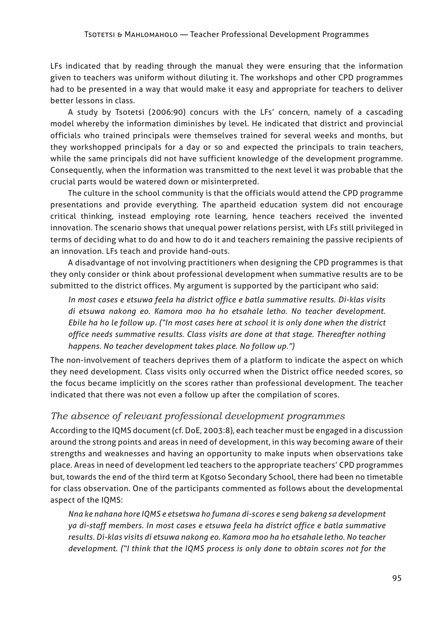LFs indicated that by reading through the manual they were ensuring that the information given to teachers was uniform without diluting it. The workshops and other CPD programmes had to be presented in a way that would make it easy and appropriate for teachers to deliver better lessons in class.

A study by Tsotetsi (2006:90) concurs with the LFs' concern, namely of a cascading model whereby the information diminishes by level. He indicated that district and provincial officials who trained principals were themselves trained for several weeks and months, but they workshopped principals for a day or so and expected the principals to train teachers, while the same principals did not have sufficient knowledge of the development programme. Consequently, when the information was transmitted to the next level it was probable that the crucial parts would be watered down or misinterpreted.

The culture in the school community is that the officials would attend the CPD programme presentations and provide everything. The apartheid education system did not encourage critical thinking, instead employing rote learning, hence teachers received the invented innovation. The scenario shows that unequal power relations persist, with LFs still privileged in terms of deciding what to do and how to do it and teachers remaining the passive recipients of an innovation. LFs teach and provide hand-outs.

A disadvantage of not involving practitioners when designing the CPD programmes is that they only consider or think about professional development when summative results are to be submitted to the district offices. My argument is supported by the participant who said:

*In most cases e etsuwa feela ha district office e batla summative results. Di-klas visits di etsuwa nakong eo. Kamora moo ha ho etsahale letho. No teacher development. Ebile ha ho le follow up. ("In most cases here at school it is only done when the district office needs summative results. Class visits are done at that stage. Thereafter nothing happens. No teacher development takes place. No follow up.")*

The non-involvement of teachers deprives them of a platform to indicate the aspect on which they need development. Class visits only occurred when the District office needed scores, so the focus became implicitly on the scores rather than professional development. The teacher indicated that there was not even a follow up after the compilation of scores.

#### *The absence of relevant professional development programmes*

According to the IQMS document (cf. DoE, 2003:8), each teacher must be engaged in a discussion around the strong points and areas in need of development, in this way becoming aware of their strengths and weaknesses and having an opportunity to make inputs when observations take place. Areas in need of development led teachers to the appropriate teachers' CPD programmes but, towards the end of the third term at Kgotso Secondary School, there had been no timetable for class observation. One of the participants commented as follows about the developmental aspect of the IQMS:

*Nna ke nahana hore IQMS e etsetswa ho fumana di-scores e seng bakeng sa development ya di-staff members. In most cases e etsuwa feela ha district office e batla summative results. Di-klas visits di etsuwa nakong eo. Kamora moo ha ho etsahale letho. No teacher development. ("I think that the IQMS process is only done to obtain scores not for the*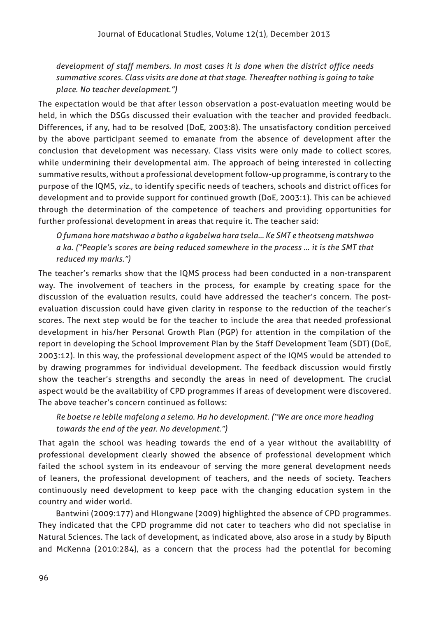*development of staff members. In most cases it is done when the district office needs summative scores. Class visits are done at that stage. Thereafter nothing is going to take place. No teacher development.")*

The expectation would be that after lesson observation a post-evaluation meeting would be held, in which the DSGs discussed their evaluation with the teacher and provided feedback. Differences, if any, had to be resolved (DoE, 2003:8). The unsatisfactory condition perceived by the above participant seemed to emanate from the absence of development after the conclusion that development was necessary. Class visits were only made to collect scores, while undermining their developmental aim. The approach of being interested in collecting summative results, without a professional development follow-up programme, is contrary to the purpose of the IQMS, *viz.,* to identify specific needs of teachers, schools and district offices for development and to provide support for continued growth (DoE, 2003:1). This can be achieved through the determination of the competence of teachers and providing opportunities for further professional development in areas that require it. The teacher said:

*O fumana hore matshwao a batho a kgabelwa hara tsela… Ke SMT e theotseng matshwao a ka. ("People's scores are being reduced somewhere in the process … it is the SMT that reduced my marks.")*

The teacher's remarks show that the IQMS process had been conducted in a non-transparent way. The involvement of teachers in the process, for example by creating space for the discussion of the evaluation results, could have addressed the teacher's concern. The postevaluation discussion could have given clarity in response to the reduction of the teacher's scores. The next step would be for the teacher to include the area that needed professional development in his/her Personal Growth Plan (PGP) for attention in the compilation of the report in developing the School Improvement Plan by the Staff Development Team (SDT) (DoE, 2003:12). In this way, the professional development aspect of the IQMS would be attended to by drawing programmes for individual development. The feedback discussion would firstly show the teacher's strengths and secondly the areas in need of development. The crucial aspect would be the availability of CPD programmes if areas of development were discovered. The above teacher's concern continued as follows:

*Re boetse re lebile mafelong a selemo. Ha ho development. ("We are once more heading towards the end of the year. No development.")*

That again the school was heading towards the end of a year without the availability of professional development clearly showed the absence of professional development which failed the school system in its endeavour of serving the more general development needs of leaners, the professional development of teachers, and the needs of society. Teachers continuously need development to keep pace with the changing education system in the country and wider world.

Bantwini (2009:177) and Hlongwane (2009) highlighted the absence of CPD programmes. They indicated that the CPD programme did not cater to teachers who did not specialise in Natural Sciences. The lack of development, as indicated above, also arose in a study by Biputh and McKenna (2010:284), as a concern that the process had the potential for becoming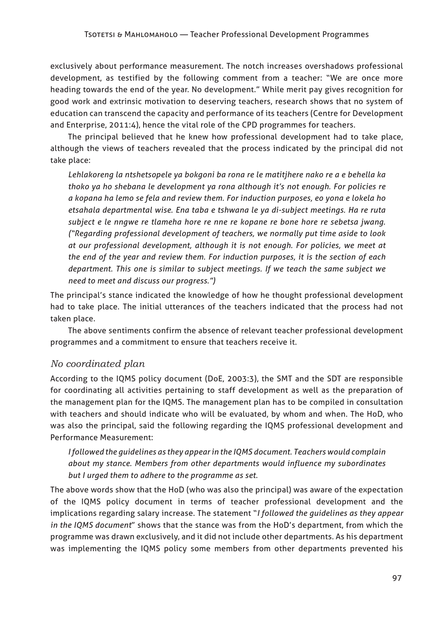exclusively about performance measurement. The notch increases overshadows professional development, as testified by the following comment from a teacher: "We are once more heading towards the end of the year. No development." While merit pay gives recognition for good work and extrinsic motivation to deserving teachers, research shows that no system of education can transcend the capacity and performance of its teachers (Centre for Development and Enterprise, 2011:4), hence the vital role of the CPD programmes for teachers.

The principal believed that he knew how professional development had to take place, although the views of teachers revealed that the process indicated by the principal did not take place:

*Lehlakoreng la ntshetsopele ya bokgoni ba rona re le matitjhere nako re a e behella ka thoko ya ho shebana le development ya rona although it's not enough. For policies re a kopana ha lemo se fela and review them. For induction purposes, eo yona e lokela ho etsahala departmental wise. Ena taba e tshwana le ya di-subject meetings. Ha re ruta subject e le nngwe re tlameha hore re nne re kopane re bone hore re sebetsa jwang. ("Regarding professional development of teachers, we normally put time aside to look at our professional development, although it is not enough. For policies, we meet at the end of the year and review them. For induction purposes, it is the section of each department. This one is similar to subject meetings. If we teach the same subject we need to meet and discuss our progress.")*

The principal's stance indicated the knowledge of how he thought professional development had to take place. The initial utterances of the teachers indicated that the process had not taken place.

The above sentiments confirm the absence of relevant teacher professional development programmes and a commitment to ensure that teachers receive it.

## *No coordinated plan*

According to the IQMS policy document (DoE, 2003:3), the SMT and the SDT are responsible for coordinating all activities pertaining to staff development as well as the preparation of the management plan for the IQMS. The management plan has to be compiled in consultation with teachers and should indicate who will be evaluated, by whom and when. The HoD, who was also the principal, said the following regarding the IQMS professional development and Performance Measurement:

*I followed the guidelines as they appear in the IQMS document. Teachers would complain about my stance. Members from other departments would influence my subordinates but I urged them to adhere to the programme as set.*

The above words show that the HoD (who was also the principal) was aware of the expectation of the IQMS policy document in terms of teacher professional development and the implications regarding salary increase. The statement "*I followed the guidelines as they appear in the IQMS document*" shows that the stance was from the HoD's department, from which the programme was drawn exclusively, and it did not include other departments. As his department was implementing the IQMS policy some members from other departments prevented his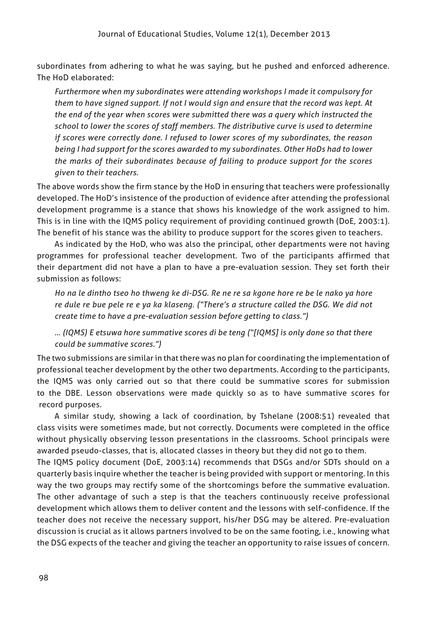subordinates from adhering to what he was saying, but he pushed and enforced adherence. The HoD elaborated:

*Furthermore when my subordinates were attending workshops I made it compulsory for them to have signed support. If not I would sign and ensure that the record was kept. At the end of the year when scores were submitted there was a query which instructed the school to lower the scores of staff members. The distributive curve is used to determine if scores were correctly done. I refused to lower scores of my subordinates, the reason being I had support for the scores awarded to my subordinates. Other HoDs had to lower the marks of their subordinates because of failing to produce support for the scores given to their teachers.*

The above words show the firm stance by the HoD in ensuring that teachers were professionally developed. The HoD's insistence of the production of evidence after attending the professional development programme is a stance that shows his knowledge of the work assigned to him. This is in line with the IQMS policy requirement of providing continued growth (DoE, 2003:1). The benefit of his stance was the ability to produce support for the scores given to teachers.

As indicated by the HoD, who was also the principal, other departments were not having programmes for professional teacher development. Two of the participants affirmed that their department did not have a plan to have a pre-evaluation session. They set forth their submission as follows:

*Ho na le dintho tseo ho thweng ke di-DSG. Re ne re sa kgone hore re be le nako ya hore re dule re bue pele re e ya ka klaseng. ("There's a structure called the DSG. We did not create time to have a pre-evaluation session before getting to class.")* 

#### *… (IQMS) E etsuwa hore summative scores di be teng ("[IQMS] is only done so that there could be summative scores.")*

The two submissions are similar in that there was no plan for coordinating the implementation of professional teacher development by the other two departments. According to the participants, the IQMS was only carried out so that there could be summative scores for submission to the DBE. Lesson observations were made quickly so as to have summative scores for record purposes.

A similar study, showing a lack of coordination, by Tshelane (2008:51) revealed that class visits were sometimes made, but not correctly. Documents were completed in the office without physically observing lesson presentations in the classrooms. School principals were awarded pseudo-classes, that is, allocated classes in theory but they did not go to them.

The IQMS policy document (DoE, 2003:14) recommends that DSGs and/or SDTs should on a quarterly basis inquire whether the teacher is being provided with support or mentoring. In this way the two groups may rectify some of the shortcomings before the summative evaluation. The other advantage of such a step is that the teachers continuously receive professional development which allows them to deliver content and the lessons with self-confidence. If the teacher does not receive the necessary support, his/her DSG may be altered. Pre-evaluation discussion is crucial as it allows partners involved to be on the same footing, i.e., knowing what the DSG expects of the teacher and giving the teacher an opportunity to raise issues of concern.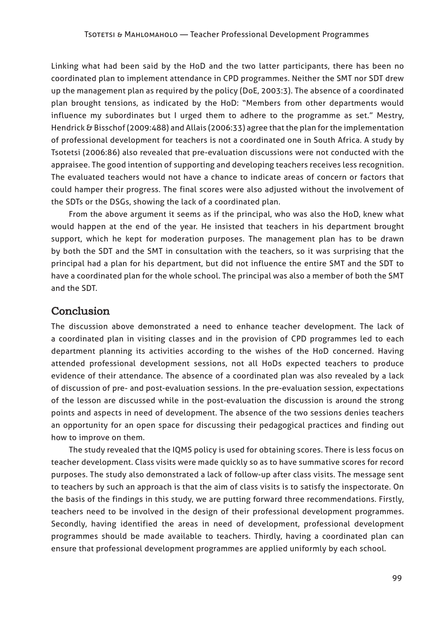Linking what had been said by the HoD and the two latter participants, there has been no coordinated plan to implement attendance in CPD programmes. Neither the SMT nor SDT drew up the management plan as required by the policy (DoE, 2003:3). The absence of a coordinated plan brought tensions, as indicated by the HoD: "Members from other departments would influence my subordinates but I urged them to adhere to the programme as set." Mestry, Hendrick & Bisschof (2009:488) and Allais (2006:33) agree that the plan for the implementation of professional development for teachers is not a coordinated one in South Africa. A study by Tsotetsi (2006:86) also revealed that pre-evaluation discussions were not conducted with the appraisee. The good intention of supporting and developing teachers receives less recognition. The evaluated teachers would not have a chance to indicate areas of concern or factors that could hamper their progress. The final scores were also adjusted without the involvement of the SDTs or the DSGs, showing the lack of a coordinated plan.

From the above argument it seems as if the principal, who was also the HoD, knew what would happen at the end of the year. He insisted that teachers in his department brought support, which he kept for moderation purposes. The management plan has to be drawn by both the SDT and the SMT in consultation with the teachers, so it was surprising that the principal had a plan for his department, but did not influence the entire SMT and the SDT to have a coordinated plan for the whole school. The principal was also a member of both the SMT and the SDT.

## Conclusion

The discussion above demonstrated a need to enhance teacher development. The lack of a coordinated plan in visiting classes and in the provision of CPD programmes led to each department planning its activities according to the wishes of the HoD concerned. Having attended professional development sessions, not all HoDs expected teachers to produce evidence of their attendance. The absence of a coordinated plan was also revealed by a lack of discussion of pre- and post-evaluation sessions. In the pre-evaluation session, expectations of the lesson are discussed while in the post-evaluation the discussion is around the strong points and aspects in need of development. The absence of the two sessions denies teachers an opportunity for an open space for discussing their pedagogical practices and finding out how to improve on them.

The study revealed that the IQMS policy is used for obtaining scores. There is less focus on teacher development. Class visits were made quickly so as to have summative scores for record purposes. The study also demonstrated a lack of follow-up after class visits. The message sent to teachers by such an approach is that the aim of class visits is to satisfy the inspectorate. On the basis of the findings in this study, we are putting forward three recommendations. Firstly, teachers need to be involved in the design of their professional development programmes. Secondly, having identified the areas in need of development, professional development programmes should be made available to teachers. Thirdly, having a coordinated plan can ensure that professional development programmes are applied uniformly by each school.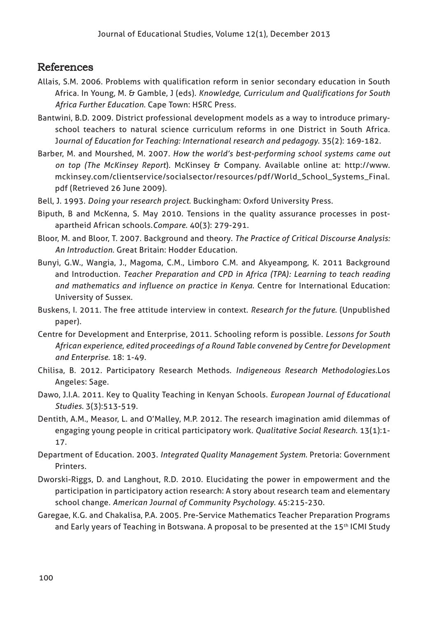## References

- Allais, S.M. 2006. Problems with qualification reform in senior secondary education in South Africa. In Young, M. & Gamble, J (eds). *Knowledge, Curriculum and Qualifications for South Africa Further Education*. Cape Town: HSRC Press.
- Bantwini, B.D. 2009. District professional development models as a way to introduce primaryschool teachers to natural science curriculum reforms in one District in South Africa. J*ournal of Education for Teaching: International research and pedagogy*. 35(2): 169-182.
- Barber, M. and Mourshed, M. 2007*. How the world's best-performing school systems came out on top (The McKinsey Report*). McKinsey & Company. Available online at: http://www. mckinsey.com/clientservice/socialsector/resources/pdf/World\_School\_Systems\_Final. pdf (Retrieved 26 June 2009).
- Bell, J. 1993. *Doing your research project*. Buckingham: Oxford University Press.
- Biputh, B and McKenna, S. May 2010. Tensions in the quality assurance processes in postapartheid African schools.*Compare*. 40(3): 279-291.
- Bloor, M. and Bloor, T. 2007. Background and theory. *The Practice of Critical Discourse Analysis: An Introduction*. Great Britain: Hodder Education.
- Bunyi, G.W., Wangia, J., Magoma, C.M., Limboro C.M. and Akyeampong, K. 2011 Background and Introduction. *Teacher Preparation and CPD in Africa (TPA): Learning to teach reading and mathematics and influence on practice in Kenya*. Centre for International Education: University of Sussex.
- Buskens, I. 2011. The free attitude interview in context. *Research for the future*. (Unpublished paper).
- Centre for Development and Enterprise, 2011. Schooling reform is possible. *Lessons for South African experience, edited proceedings of a Round Table convened by Centre for Development and Enterprise*. 18: 1-49.
- Chilisa, B. 2012. Participatory Research Methods. *Indigeneous Research Methodologies*.Los Angeles: Sage.
- Dawo, J.I.A. 2011. Key to Quality Teaching in Kenyan Schools. *European Journal of Educational Studies.* 3(3):513-519.
- Dentith, A.M., Measor, L. and O'Malley, M.P. 2012. The research imagination amid dilemmas of engaging young people in critical participatory work. *Qualitative Social Research*. 13(1):1- 17.
- Department of Education. 2003. *Integrated Quality Management System*. Pretoria: Government Printers.
- Dworski-Riggs, D. and Langhout, R.D. 2010. Elucidating the power in empowerment and the participation in participatory action research: A story about research team and elementary school change. *American Journal of Community Psychology*. 45:215-230.
- Garegae, K.G. and Chakalisa, P.A. 2005. Pre-Service Mathematics Teacher Preparation Programs and Early years of Teaching in Botswana. A proposal to be presented at the 15<sup>th</sup> ICMI Study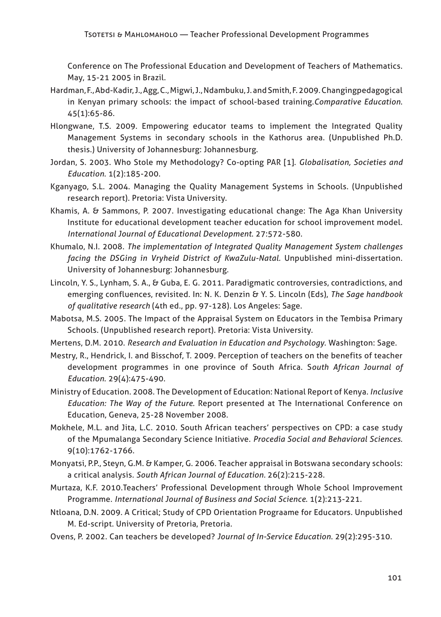Conference on The Professional Education and Development of Teachers of Mathematics. May, 15-21 2005 in Brazil.

- Hardman, F., Abd-Kadir, J., Agg, C., Migwi, J., Ndambuku, J. and Smith, F. 2009. Changingpedagogical in Kenyan primary schools: the impact of school-based training.*Comparative Education*. 45(1):65-86.
- Hlongwane, T.S. 2009. Empowering educator teams to implement the Integrated Quality Management Systems in secondary schools in the Kathorus area. (Unpublished Ph.D. thesis.) University of Johannesburg: Johannesburg.
- Jordan, S. 2003. Who Stole my Methodology? Co-opting PAR [1]. *Globalisation, Societies and Education*. 1(2):185-200.
- Kganyago, S.L. 2004. Managing the Quality Management Systems in Schools. (Unpublished research report). Pretoria: Vista University.
- Khamis, A. & Sammons, P. 2007. Investigating educational change: The Aga Khan University Institute for educational development teacher education for school improvement model. *International Journal of Educational Development*. 27:572-580.
- Khumalo, N.I. 2008. *The implementation of Integrated Quality Management System challenges facing the DSGing in Vryheid District of KwaZulu-Natal.* Unpublished mini-dissertation. University of Johannesburg: Johannesburg.
- Lincoln, Y. S., Lynham, S. A., & Guba, E. G. 2011. Paradigmatic controversies, contradictions, and emerging confluences, revisited. In: N. K. Denzin & Y. S. Lincoln (Eds), *The Sage handbook of qualitative research* (4th ed., pp. 97-128). Los Angeles: Sage.
- Mabotsa, M.S. 2005. The Impact of the Appraisal System on Educators in the Tembisa Primary Schools. (Unpublished research report). Pretoria: Vista University.
- Mertens, D.M. 2010. *Research and Evaluation in Education and Psychology*. Washington: Sage.
- Mestry, R., Hendrick, I. and Bisschof, T. 2009. Perception of teachers on the benefits of teacher development programmes in one province of South Africa. S*outh African Journal of Education*. 29(4):475-490.
- Ministry of Education. 2008. The Development of Education: National Report of Kenya. *Inclusive Education: The Way of the Future.* Report presented at The International Conference on Education, Geneva, 25-28 November 2008.
- Mokhele, M.L. and Jita, L.C. 2010. South African teachers' perspectives on CPD: a case study of the Mpumalanga Secondary Science Initiative. *Procedia Social and Behavioral Sciences*. 9(10):1762-1766.
- Monyatsi, P.P., Steyn, G.M. & Kamper, G. 2006. Teacher appraisal in Botswana secondary schools: a critical analysis. *South African Journal of Education.* 26(2):215-228.
- Murtaza, K.F. 2010.Teachers' Professional Development through Whole School Improvement Programme. *International Journal of Business and Social Science*. 1(2):213-221.
- Ntloana, D.N. 2009. A Critical; Study of CPD Orientation Prograame for Educators. Unpublished M. Ed-script. University of Pretoria, Pretoria.
- Ovens, P. 2002. Can teachers be developed? *Journal of In-Service Education*. 29(2):295-310.